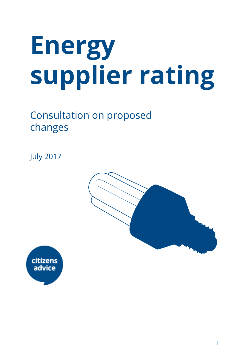# **Energy supplier rating**

# Consultation on proposed changes

July 2017



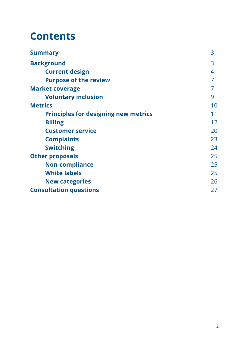# **Contents**

| <b>Summary</b>                              | 3  |
|---------------------------------------------|----|
| <b>Background</b>                           | 3  |
| <b>Current design</b>                       | 4  |
| <b>Purpose of the review</b>                | 7  |
| <b>Market coverage</b>                      |    |
| <b>Voluntary inclusion</b>                  | 9  |
| <b>Metrics</b>                              | 10 |
| <b>Principles for designing new metrics</b> | 11 |
| <b>Billing</b>                              | 12 |
| <b>Customer service</b>                     | 20 |
| <b>Complaints</b>                           | 23 |
| <b>Switching</b>                            | 24 |
| <b>Other proposals</b>                      | 25 |
| <b>Non-compliance</b>                       | 25 |
| <b>White labels</b>                         | 25 |
| <b>New categories</b>                       | 26 |
| <b>Consultation questions</b>               | 27 |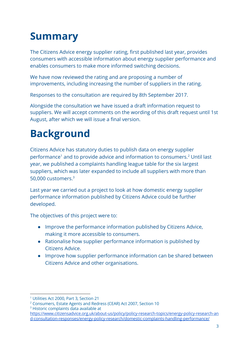# <span id="page-2-0"></span>**Summary**

The Citizens Advice energy supplier rating, first published last year, provides consumers with accessible information about energy supplier performance and enables consumers to make more informed switching decisions.

We have now reviewed the rating and are proposing a number of improvements, including increasing the number of suppliers in the rating.

Responses to the consultation are required by 8th September 2017.

Alongside the consultation we have issued a draft information request to suppliers. We will accept comments on the wording of this draft request until 1st August, after which we will issue a final version.

# <span id="page-2-1"></span>**Background**

Citizens Advice has statutory duties to publish data on energy supplier performance<sup>1</sup> and to provide advice and information to consumers.<sup>2</sup> Until last year, we published a complaints handling league table for the six largest suppliers, which was later expanded to include all suppliers with more than 50,000 customers.<sup>3</sup>

Last year we carried out a project to look at how domestic energy supplier performance information published by Citizens Advice could be further developed.

The objectives of this project were to:

- Improve the performance information published by Citizens Advice, making it more accessible to consumers.
- Rationalise how supplier performance information is published by Citizens Advice.
- Improve how supplier performance information can be shared between Citizens Advice and other organisations.

<sup>1</sup> Utilities Act 2000, Part 3, Section 21

<sup>2</sup> Consumers, Estate Agents and Redress (CEAR) Act 2007, Section 10 <sup>3</sup> Historic complaints data available at

[https://www.citizensadvice.org.uk/about-us/policy/policy-research-topics/energy-policy-research-an](https://www.citizensadvice.org.uk/about-us/policy/policy-research-topics/energy-policy-research-and-consultation-responses/energy-policy-research/domestic-complaints-handling-performance/) [d-consultation-responses/energy-policy-research/domestic-complaints-handling-performance/](https://www.citizensadvice.org.uk/about-us/policy/policy-research-topics/energy-policy-research-and-consultation-responses/energy-policy-research/domestic-complaints-handling-performance/)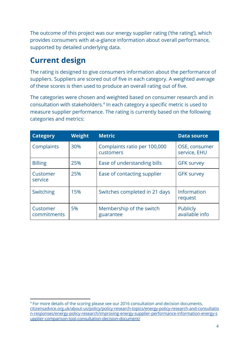The outcome of this project was our energy supplier rating ('the rating'), which provides consumers with at-a-glance information about overall performance, supported by detailed underlying data.

### <span id="page-3-0"></span>**Current design**

The rating is designed to give consumers information about the performance of suppliers. Suppliers are scored out of five in each category. A weighted average of these scores is then used to produce an overall rating out of five.

The categories were chosen and weighted based on consumer research and in consultation with stakeholders.<sup>4</sup> In each category a specific metric is used to measure supplier performance. The rating is currently based on the following categories and metrics:

| <b>Category</b>         | <b>Weight</b> | <b>Metric</b>                             | <b>Data source</b>            |
|-------------------------|---------------|-------------------------------------------|-------------------------------|
| Complaints              | 30%           | Complaints ratio per 100,000<br>customers | OSE, consumer<br>service, EHU |
| <b>Billing</b>          | 25%           | Ease of understanding bills               | <b>GFK survey</b>             |
| Customer<br>service     | 25%           | Ease of contacting supplier               | <b>GFK survey</b>             |
| <b>Switching</b>        | 15%           | Switches completed in 21 days             | Information<br>request        |
| Customer<br>commitments | 5%            | Membership of the switch<br>guarantee     | Publicly<br>available info    |

<sup>4</sup> For more details of the scoring please see our 2016 consultation and decision documents, [citizensadvice.org.uk/about-us/policy/policy-research-topics/energy-policy-research-and-consultatio](https://www.citizensadvice.org.uk/about-us/policy/policy-research-topics/energy-policy-research-and-consultation-responses/energy-policy-research/improving-energy-supplier-performance-information-energy-supplier-comparison-tool-consultation-decision-document/) [n-responses/energy-policy-research/improving-energy-supplier-performance-information-energy-s](https://www.citizensadvice.org.uk/about-us/policy/policy-research-topics/energy-policy-research-and-consultation-responses/energy-policy-research/improving-energy-supplier-performance-information-energy-supplier-comparison-tool-consultation-decision-document/) [upplier-comparison-tool-consultation-decision-document/](https://www.citizensadvice.org.uk/about-us/policy/policy-research-topics/energy-policy-research-and-consultation-responses/energy-policy-research/improving-energy-supplier-performance-information-energy-supplier-comparison-tool-consultation-decision-document/)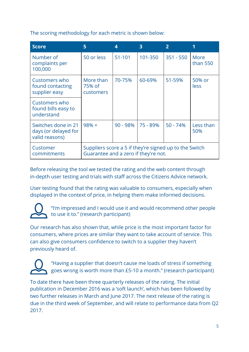The scoring methodology for each metric is shown below:

| <b>Score</b>                                                  | 5                                                                                              | 4        | $\overline{\mathbf{3}}$ | $\mathbf{p}$ |                  |
|---------------------------------------------------------------|------------------------------------------------------------------------------------------------|----------|-------------------------|--------------|------------------|
| Number of<br>complaints per<br>100,000                        | 50 or less                                                                                     | 51-101   | 101-350                 | $351 - 550$  | More<br>than 550 |
| Customers who<br>found contacting<br>supplier easy            | More than<br>75% of<br>customers                                                               | 70-75%   | 60-69%                  | 51-59%       | 50% or<br>less   |
| Customers who<br>found bills easy to<br>understand            |                                                                                                |          |                         |              |                  |
| Switches done in 21<br>days (or delayed for<br>valid reasons) | $98% +$                                                                                        | 90 - 98% | 75 - 89%                | $50 - 74%$   | Less than<br>50% |
| Customer<br>commitments                                       | Suppliers score a 5 if they're signed up to the Switch<br>Guarantee and a zero if they're not. |          |                         |              |                  |

Before releasing the tool we tested the rating and the web content through in-depth user testing and trials with staff across the Citizens Advice network.

User testing found that the rating was valuable to consumers, especially when displayed in the context of price, in helping them make informed decisions.



"I'm impressed and I would use it and would recommend other people to use it to." (research participant)

Our research has also shown that, while price is the most important factor for consumers, where prices are similar they want to take account of service. This can also give consumers confidence to switch to a supplier they haven't previously heard of.



"Having a supplier that doesn't cause me loads of stress if something goes wrong is worth more than £5-10 a month." (research participant)

To date there have been three quarterly releases of the rating. The initial publication in December 2016 was a 'soft launch', which has been followed by two further releases in March and June 2017. The next release of the rating is due in the third week of September, and will relate to performance data from Q2 2017.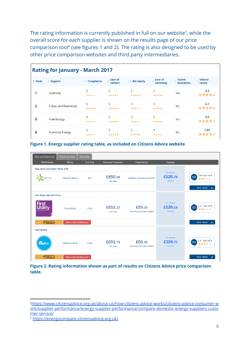The rating information is currently published in full on our website<sup>5</sup>, while the overall score for each supplier is shown on the results page of our price comparison tool<sup>6</sup> (see figures 1 and 2). The rating is also designed to be used by other price comparison websites and third party intermediaries.

|                | <b>Rating for January - March 2017</b> |                   |                           |                     |                      |                                   |                          |
|----------------|----------------------------------------|-------------------|---------------------------|---------------------|----------------------|-----------------------------------|--------------------------|
| $-$ Rank       | $\div$ Supplier                        | $\div$ Complaints | <b>Ease of</b><br>contact | <b>Bill clarity</b> | Ease of<br>switching | <b>Switch</b><br><b>Guarantee</b> | <b>Overall</b><br>rating |
| $\overline{1}$ | <b>Ecotricity</b>                      | 3<br>青青青六六        | 5<br>*****                | 5<br>*****          | 5<br>*****           | Yes                               | 4.4                      |
| $\overline{2}$ | E (Gas and Electricity)                | 5<br>*****        | 5<br>*****                | 3<br>*****          | 4<br>*****           | No                                | 4.1                      |
| 3              | <b>Flow Energy</b>                     | 3<br>*****        | 5<br>*****                | 3<br>*****          | 5<br>*****           | Yes                               | 3.9                      |
| $\overline{4}$ | <b>Economy Energy</b>                  | 3<br>青青青六六        | 5<br>*****                | 5<br>*****          | 3<br>青青青青青           | No                                | 3.85                     |

**Figure 1. Energy supplier rating table, as included on Citizens Advice website**

| <b>Gas and Electricity</b>               | <b>Electricity Only</b>   | <b>Gas Only</b> |                            |                                             |                                      |                                              |
|------------------------------------------|---------------------------|-----------------|----------------------------|---------------------------------------------|--------------------------------------|----------------------------------------------|
| <b>Tariff Name</b>                       | <b>Billing</b>            | <b>Exit Fee</b> | <b>Personal Projection</b> | Payment by                                  | <b>Savings</b>                       |                                              |
| Rate Saver 12m Fixed + Perks 1705        |                           |                 |                            |                                             |                                      |                                              |
| <b>Green Star</b><br>Energy <sup>®</sup> | <b>Paperless Billing</b>  | £60             | £650.69<br>per year        | <b>Quarterly Variable Direct Debit</b>      | You will save<br>£120.79<br>per year | 2.85 out of 5<br>citizens<br>advice<br>***** |
|                                          |                           |                 |                            |                                             |                                      | <b>Next steps</b>                            |
| <b>First Magic July 2018 Online</b>      |                           |                 |                            |                                             |                                      |                                              |
| <b>First</b><br><b>tility</b>            | <b>Paper Billing</b>      | £100            | £651.32<br>per year        | £55.00<br>Monthly Fixed Direct Debit        | You will save<br>£120.15<br>per year | 2.9 out of 5<br>citizens<br>advice<br>含含含含含  |
| <b>ENERGY SUBRANTEE</b>                  | <b>Warm Home Discount</b> |                 |                            |                                             |                                      | <b>Next steps</b>                            |
| <b>Flow Variable</b>                     |                           |                 |                            |                                             |                                      |                                              |
| flow                                     | <b>Paperless Billing</b>  | no fee          | £651.73<br>per year        | £55.00<br><b>Monthly Fixed Direct Debit</b> | You will save<br>£119.75<br>per year | 3.9 out of 5<br>citizens<br>advice<br>*****  |
| COMPANYER                                | <b>Warm Home Discount</b> |                 |                            |                                             |                                      | <b>Next steps</b>                            |

**Figure 2. Rating information shown as part of results on Citizens Advice price comparison table.**

<sup>5</sup>[https://www.citizensadvice.org.uk/about-us/how-citizens-advice-works/citizens-advice-consumer-w](https://www.citizensadvice.org.uk/about-us/how-citizens-advice-works/citizens-advice-consumer-work/supplier-performance/energy-supplier-performance/compare-domestic-energy-suppliers-customer-service/) [ork/supplier-performance/energy-supplier-performance/compare-domestic-energy-suppliers-custo](https://www.citizensadvice.org.uk/about-us/how-citizens-advice-works/citizens-advice-consumer-work/supplier-performance/energy-supplier-performance/compare-domestic-energy-suppliers-customer-service/) [mer-service/](https://www.citizensadvice.org.uk/about-us/how-citizens-advice-works/citizens-advice-consumer-work/supplier-performance/energy-supplier-performance/compare-domestic-energy-suppliers-customer-service/)

<sup>6</sup> <https://energycompare.citizensadvice.org.uk/>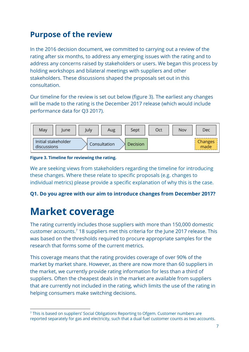### <span id="page-6-0"></span>**Purpose of the review**

In the 2016 decision document, we committed to carrying out a review of the rating after six months, to address any emerging issues with the rating and to address any concerns raised by stakeholders or users. We began this process by holding workshops and bilateral meetings with suppliers and other stakeholders. These discussions shaped the proposals set out in this consultation.

Our timeline for the review is set out below (figure 3). The earliest any changes will be made to the rating is the December 2017 release (which would include performance data for Q3 2017).



#### **Figure 3. Timeline for reviewing the rating.**

We are seeking views from stakeholders regarding the timeline for introducing these changes. Where these relate to specific proposals (e.g. changes to individual metrics) please provide a specific explanation of why this is the case.

#### **Q1. Do you agree with our aim to introduce changes from December 2017?**

# <span id="page-6-1"></span>**Market coverage**

The rating currently includes those suppliers with more than 150,000 domestic customer accounts.<sup>7</sup> 18 suppliers met this criteria for the June 2017 release. This was based on the thresholds required to procure appropriate samples for the research that forms some of the current metrics.

This coverage means that the rating provides coverage of over 90% of the market by market share. However, as there are now more than 60 suppliers in the market, we currently provide rating information for less than a third of suppliers. Often the cheapest deals in the market are available from suppliers that are currently not included in the rating, which limits the use of the rating in helping consumers make switching decisions.

<sup>&</sup>lt;sup>7</sup> This is based on suppliers' Social Obligations Reporting to Ofgem. Customer numbers are reported separately for gas and electricity, such that a dual fuel customer counts as two accounts.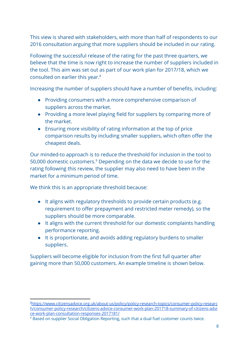This view is shared with stakeholders, with more than half of respondents to our 2016 consultation arguing that more suppliers should be included in our rating.

Following the successful release of the rating for the past three quarters, we believe that the time is now right to increase the number of suppliers included in the tool. This aim was set out as part of our work plan for 2017/18, which we consulted on earlier this year.<sup>8</sup>

Increasing the number of suppliers should have a number of benefits, including:

- Providing consumers with a more comprehensive comparison of suppliers across the market.
- Providing a more level playing field for suppliers by comparing more of the market.
- Ensuring more visibility of rating information at the top of price comparison results by including smaller suppliers, which often offer the cheapest deals.

Our minded-to approach is to reduce the threshold for inclusion in the tool to 50,000 domestic customers. $9$  Depending on the data we decide to use for the rating following this review, the supplier may also need to have been in the market for a minimum period of time.

We think this is an appropriate threshold because:

- It aligns with regulatory thresholds to provide certain products (e.g. requirement to offer prepayment and restricted meter remedy), so the suppliers should be more comparable.
- It aligns with the current threshold for our domestic complaints handling performance reporting.
- It is proportionate, and avoids adding regulatory burdens to smaller suppliers.

Suppliers will become eligible for inclusion from the first full quarter after gaining more than 50,000 customers. An example timeline is shown below.

<sup>8</sup>[https://www.citizensadvice.org.uk/about-us/policy/policy-research-topics/consumer-policy-researc](https://www.citizensadvice.org.uk/about-us/policy/policy-research-topics/consumer-policy-research/consumer-policy-research/citizens-advice-consumer-work-plan-201718-summary-of-citizens-advice-work-plan-consultation-responses-2017181/) [h/consumer-policy-research/citizens-advice-consumer-work-plan-201718-summary-of-citizens-advi](https://www.citizensadvice.org.uk/about-us/policy/policy-research-topics/consumer-policy-research/consumer-policy-research/citizens-advice-consumer-work-plan-201718-summary-of-citizens-advice-work-plan-consultation-responses-2017181/) [ce-work-plan-consultation-responses-2017181/](https://www.citizensadvice.org.uk/about-us/policy/policy-research-topics/consumer-policy-research/consumer-policy-research/citizens-advice-consumer-work-plan-201718-summary-of-citizens-advice-work-plan-consultation-responses-2017181/)

<sup>9</sup> Based on supplier Social Obligation Reporting, such that a dual fuel customer counts twice.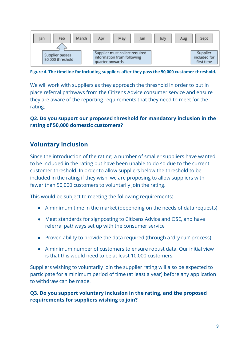

**Figure 4. The timeline for including suppliers after they pass the 50,000 customer threshold.**

We will work with suppliers as they approach the threshold in order to put in place referral pathways from the Citizens Advice consumer service and ensure they are aware of the reporting requirements that they need to meet for the rating.

#### **Q2. Do you support our proposed threshold for mandatory inclusion in the rating of 50,000 domestic customers?**

#### <span id="page-8-0"></span>**Voluntary inclusion**

Since the introduction of the rating, a number of smaller suppliers have wanted to be included in the rating but have been unable to do so due to the current customer threshold. In order to allow suppliers below the threshold to be included in the rating if they wish, we are proposing to allow suppliers with fewer than 50,000 customers to voluntarily join the rating.

This would be subject to meeting the following requirements:

- A minimum time in the market (depending on the needs of data requests)
- Meet standards for signposting to Citizens Advice and OSE, and have referral pathways set up with the consumer service
- Proven ability to provide the data required (through a 'dry run' process)
- A minimum number of customers to ensure robust data. Our initial view is that this would need to be at least 10,000 customers.

Suppliers wishing to voluntarily join the supplier rating will also be expected to participate for a minimum period of time (at least a year) before any application to withdraw can be made.

#### **Q3. Do you support voluntary inclusion in the rating, and the proposed requirements for suppliers wishing to join?**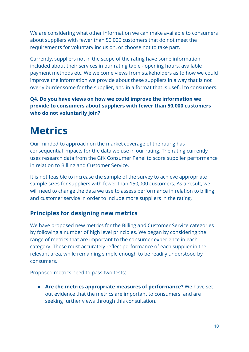We are considering what other information we can make available to consumers about suppliers with fewer than 50,000 customers that do not meet the requirements for voluntary inclusion, or choose not to take part.

Currently, suppliers not in the scope of the rating have some information included about their services in our rating table - opening hours, available payment methods etc. We welcome views from stakeholders as to how we could improve the information we provide about these suppliers in a way that is not overly burdensome for the supplier, and in a format that is useful to consumers.

**Q4. Do you have views on how we could improve the information we provide to consumers about suppliers with fewer than 50,000 customers who do not voluntarily join?**

# <span id="page-9-0"></span>**Metrics**

Our minded-to approach on the market coverage of the rating has consequential impacts for the data we use in our rating. The rating currently uses research data from the GfK Consumer Panel to score supplier performance in relation to Billing and Customer Service.

It is not feasible to increase the sample of the survey to achieve appropriate sample sizes for suppliers with fewer than 150,000 customers. As a result, we will need to change the data we use to assess performance in relation to billing and customer service in order to include more suppliers in the rating.

#### <span id="page-9-1"></span>**Principles for designing new metrics**

We have proposed new metrics for the Billing and Customer Service categories by following a number of high level principles. We began by considering the range of metrics that are important to the consumer experience in each category. These must accurately reflect performance of each supplier in the relevant area, while remaining simple enough to be readily understood by consumers.

Proposed metrics need to pass two tests:

● **Are the metrics appropriate measures of performance?** We have set out evidence that the metrics are important to consumers, and are seeking further views through this consultation.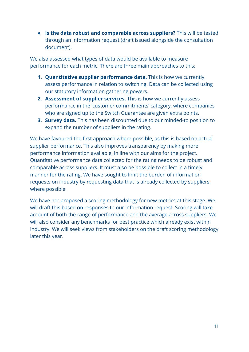● **Is the data robust and comparable across suppliers?** This will be tested through an information request (draft issued alongside the consultation document).

We also assessed what types of data would be available to measure performance for each metric. There are three main approaches to this:

- **1. Quantitative supplier performance data.** This is how we currently assess performance in relation to switching. Data can be collected using our statutory information gathering powers.
- **2. Assessment of supplier services.** This is how we currently assess performance in the 'customer commitments' category, where companies who are signed up to the Switch Guarantee are given extra points.
- **3. Survey data.** This has been discounted due to our minded-to position to expand the number of suppliers in the rating.

We have favoured the first approach where possible, as this is based on actual supplier performance. This also improves transparency by making more performance information available, in line with our aims for the project. Quantitative performance data collected for the rating needs to be robust and comparable across suppliers. It must also be possible to collect in a timely manner for the rating. We have sought to limit the burden of information requests on industry by requesting data that is already collected by suppliers, where possible.

We have not proposed a scoring methodology for new metrics at this stage. We will draft this based on responses to our information request. Scoring will take account of both the range of performance and the average across suppliers. We will also consider any benchmarks for best practice which already exist within industry. We will seek views from stakeholders on the draft scoring methodology later this year.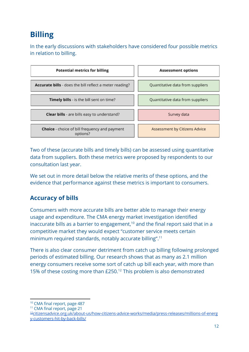## <span id="page-11-0"></span>**Billing**

In the early discussions with stakeholders have considered four possible metrics in relation to billing.



Two of these (accurate bills and timely bills) can be assessed using quantitative data from suppliers. Both these metrics were proposed by respondents to our consultation last year.

We set out in more detail below the relative merits of these options, and the evidence that performance against these metrics is important to consumers.

#### **Accuracy of bills**

Consumers with more accurate bills are better able to manage their energy usage and expenditure. The CMA energy market investigation identified inaccurate bills as a barrier to engagement,<sup>10</sup> and the final report said that in a competitive market they would expect "customer service meets certain minimum required standards, notably accurate billing".<sup>11</sup>

There is also clear consumer detriment from catch up billing following prolonged periods of estimated billing. Our research shows that as many as 2.1 million energy consumers receive some sort of catch up bill each year, with more than 15% of these costing more than  $£250<sup>12</sup>$  This problem is also demonstrated

<sup>&</sup>lt;sup>10</sup> CMA final report, page 487

<sup>&</sup>lt;sup>11</sup> CMA final report, page 21

<sup>12</sup>[citizensadvice.org.uk/about-us/how-citizens-advice-works/media/press-releases/millions-of-energ](https://www.citizensadvice.org.uk/about-us/how-citizens-advice-works/media/press-releases/millions-of-energy-customers-hit-by-back-bills/) [y-customers-hit-by-back-bills/](https://www.citizensadvice.org.uk/about-us/how-citizens-advice-works/media/press-releases/millions-of-energy-customers-hit-by-back-bills/)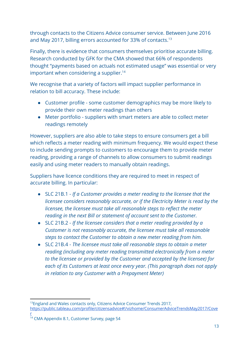through contacts to the Citizens Advice consumer service. Between June 2016 and May 2017, billing errors accounted for 33% of contacts.<sup>13</sup>

Finally, there is evidence that consumers themselves prioritise accurate billing. Research conducted by GFK for the CMA showed that 66% of respondents thought "payments based on actuals not estimated usage" was essential or very important when considering a supplier.<sup>14</sup>

We recognise that a variety of factors will impact supplier performance in relation to bill accuracy. These include:

- Customer profile some customer demographics may be more likely to provide their own meter readings than others
- Meter portfolio suppliers with smart meters are able to collect meter readings remotely

However, suppliers are also able to take steps to ensure consumers get a bill which reflects a meter reading with minimum frequency. We would expect these to include sending prompts to customers to encourage them to provide meter reading, providing a range of channels to allow consumers to submit readings easily and using meter readers to manually obtain readings.

Suppliers have licence conditions they are required to meet in respect of accurate billing. In particular:

- SLC 21B.1 *If a Customer provides a meter reading to the licensee that the licensee considers reasonably accurate, or if the Electricity Meter is read by the licensee, the licensee must take all reasonable steps to reflect the meter reading in the next Bill or statement of account sent to the Customer.*
- SLC 21B.2 *If the licensee considers that a meter reading provided by a Customer is not reasonably accurate, the licensee must take all reasonable steps to contact the Customer to obtain a new meter reading from him.*
- SLC 21B.4 *The licensee must take all reasonable steps to obtain a meter reading (including any meter reading transmitted electronically from a meter to the licensee or provided by the Customer and accepted by the licensee) for each of its Customers at least once every year. (This paragraph does not apply in relation to any Customer with a Prepayment Meter)*

<sup>&</sup>lt;sup>13</sup>England and Wales contacts only, Citizens Advice Consumer Trends 2017, https://public.tableau.com/profile/citizensadvice#!/vizhome/ConsumerAdviceTrendsMay2017/Cove

[r](https://public.tableau.com/profile/citizensadvice#!/vizhome/ConsumerAdviceTrendsMay2017/Cover) <sup>14</sup> CMA Appendix 8.1, Customer Survey, page 54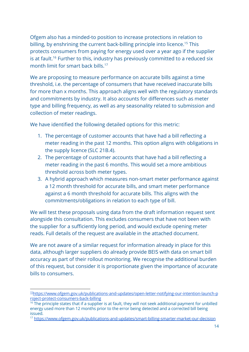Ofgem also has a minded-to position to increase protections in relation to billing, by enshrining the current back-billing principle into licence.<sup>15</sup> This protects consumers from paying for energy used over a year ago if the supplier is at fault.<sup>16</sup> Further to this, industry has previously committed to a reduced six month limit for smart back bills.<sup>17</sup>

We are proposing to measure performance on accurate bills against a time threshold, i.e. the percentage of consumers that have received inaccurate bills for more than x months. This approach aligns well with the regulatory standards and commitments by industry. It also accounts for differences such as meter type and billing frequency, as well as any seasonality related to submission and collection of meter readings.

We have identified the following detailed options for this metric:

- 1. The percentage of customer accounts that have had a bill reflecting a meter reading in the past 12 months. This option aligns with obligations in the supply licence (SLC 21B.4).
- 2. The percentage of customer accounts that have had a bill reflecting a meter reading in the past 6 months. This would set a more ambitious threshold across both meter types.
- 3. A hybrid approach which measures non-smart meter performance against a 12 month threshold for accurate bills, and smart meter performance against a 6 month threshold for accurate bills. This aligns with the commitments/obligations in relation to each type of bill.

We will test these proposals using data from the draft information request sent alongside this consultation. This excludes consumers that have not been with the supplier for a sufficiently long period, and would exclude opening meter reads. Full details of the request are available in the attached document.

We are not aware of a similar request for information already in place for this data, although larger suppliers do already provide BEIS with data on smart bill accuracy as part of their rollout monitoring. We recognise the additional burden of this request, but consider it is proportionate given the importance of accurate bills to consumers.

<sup>15</sup>[https://www.ofgem.gov.uk/publications-and-updates/open-letter-notifying-our-intention-launch-p](https://www.ofgem.gov.uk/publications-and-updates/open-letter-notifying-our-intention-launch-project-protect-consumers-back-billing) [roject-protect-consumers-back-billing](https://www.ofgem.gov.uk/publications-and-updates/open-letter-notifying-our-intention-launch-project-protect-consumers-back-billing)

<sup>&</sup>lt;sup>16</sup> The principle states that if a supplier is at fault, they will not seek additional payment for unbilled energy used more than 12 months prior to the error being detected and a corrected bill being issued.

<sup>&</sup>lt;sup>17</sup> <https://www.ofgem.gov.uk/publications-and-updates/smart-billing-smarter-market-our-decision>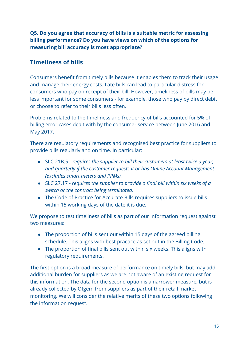**Q5. Do you agree that accuracy of bills is a suitable metric for assessing billing performance? Do you have views on which of the options for measuring bill accuracy is most appropriate?**

#### **Timeliness of bills**

Consumers benefit from timely bills because it enables them to track their usage and manage their energy costs. Late bills can lead to particular distress for consumers who pay on receipt of their bill. However, timeliness of bills may be less important for some consumers - for example, those who pay by direct debit or choose to refer to their bills less often.

Problems related to the timeliness and frequency of bills accounted for 5% of billing error cases dealt with by the consumer service between June 2016 and May 2017.

There are regulatory requirements and recognised best practice for suppliers to provide bills regularly and on time. In particular:

- SLC 21B.5 *requires the supplier to bill their customers at least twice a year, and quarterly if the customer requests it or has Online Account Management (excludes smart meters and PPMs).*
- SLC 27.17 *requires the supplier to provide a final bill within six weeks of a switch or the contract being terminated.*
- The Code of Practice for Accurate Bills requires suppliers to issue bills within 15 working days of the date it is due.

We propose to test timeliness of bills as part of our information request against two measures:

- The proportion of bills sent out within 15 days of the agreed billing schedule. This aligns with best practice as set out in the Billing Code.
- $\bullet$  The proportion of final bills sent out within six weeks. This aligns with regulatory requirements.

The first option is a broad measure of performance on timely bills, but may add additional burden for suppliers as we are not aware of an existing request for this information. The data for the second option is a narrower measure, but is already collected by Ofgem from suppliers as part of their retail market monitoring. We will consider the relative merits of these two options following the information request.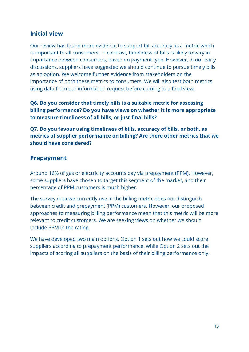#### **Initial view**

Our review has found more evidence to support bill accuracy as a metric which is important to all consumers. In contrast, timeliness of bills is likely to vary in importance between consumers, based on payment type. However, in our early discussions, suppliers have suggested we should continue to pursue timely bills as an option. We welcome further evidence from stakeholders on the importance of both these metrics to consumers. We will also test both metrics using data from our information request before coming to a final view.

**Q6. Do you consider that timely bills is a suitable metric for assessing billing performance? Do you have views on whether it is more appropriate** to measure timeliness of all bills, or just final bills?

**Q7. Do you favour using timeliness of bills, accuracy of bills, or both, as metrics of supplier performance on billing? Are there other metrics that we should have considered?**

#### **Prepayment**

Around 16% of gas or electricity accounts pay via prepayment (PPM). However, some suppliers have chosen to target this segment of the market, and their percentage of PPM customers is much higher.

The survey data we currently use in the billing metric does not distinguish between credit and prepayment (PPM) customers. However, our proposed approaches to measuring billing performance mean that this metric will be more relevant to credit customers. We are seeking views on whether we should include PPM in the rating.

We have developed two main options. Option 1 sets out how we could score suppliers according to prepayment performance, while Option 2 sets out the impacts of scoring all suppliers on the basis of their billing performance only.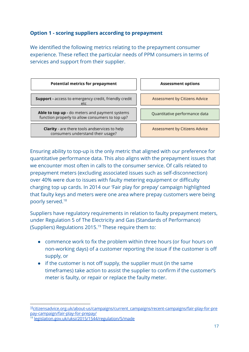#### **Option 1 - scoring suppliers according to prepayment**

We identified the following metrics relating to the prepayment consumer experience. These reflect the particular needs of PPM consumers in terms of services and support from their supplier.

| <b>Potential metrics for prepayment</b>                                                           | <b>Assessment options</b>     |
|---------------------------------------------------------------------------------------------------|-------------------------------|
| Support - access to emergency credit, friendly credit<br>etc                                      | Assessment by Citizens Advice |
| Able to top up - do meters and payment systems<br>function properly to allow consumers to top up? | Quantitative performance data |
| <b>Clarity</b> - are there tools andservices to help<br>consumers understand their usage?         | Assessment by Citizens Advice |

Ensuring ability to top-up is the only metric that aligned with our preference for quantitative performance data. This also aligns with the prepayment issues that we encounter most often in calls to the consumer service. Of calls related to prepayment meters (excluding associated issues such as self-disconnection) over 40% were due to issues with faulty metering equipment or difficulty charging top up cards. In 2014 our 'Fair play for prepay' campaign highlighted that faulty keys and meters were one area where prepay customers were being poorly served.<sup>18</sup>

Suppliers have regulatory requirements in relation to faulty prepayment meters, under Regulation 5 of The Electricity and Gas (Standards of Performance) (Suppliers) Regulations 2015.<sup>19</sup> These require them to:

- commence work to fix the problem within three hours (or four hours on non-working days) of a customer reporting the issue if the customer is o supply, or
- $\bullet$  if the customer is not off supply, the supplier must (in the same timeframes) take action to assist the supplier to confirm if the customer's meter is faulty, or repair or replace the faulty meter.

<sup>&</sup>lt;sup>18</sup>[citizensadvice.org.uk/about-us/campaigns/current\\_campaigns/recent-campaigns/fair-play-for-pre](https://www.citizensadvice.org.uk/about-us/campaigns/current_campaigns/recent-campaigns/fair-play-for-prepay-campaign/fair-play-for-prepay/) [pay-campaign/fair-play-for-prepay/](https://www.citizensadvice.org.uk/about-us/campaigns/current_campaigns/recent-campaigns/fair-play-for-prepay-campaign/fair-play-for-prepay/)

<sup>19</sup> [legislation.gov.uk/uksi/2015/1544/regulation/5/made](http://www.legislation.gov.uk/uksi/2015/1544/regulation/5/made)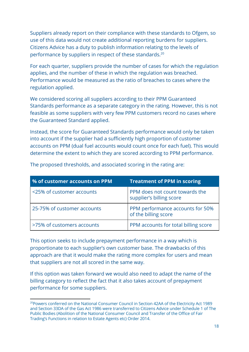Suppliers already report on their compliance with these standards to Ofgem, so use of this data would not create additional reporting burdens for suppliers. Citizens Advice has a duty to publish information relating to the levels of performance by suppliers in respect of these standards.<sup>20</sup>

For each quarter, suppliers provide the number of cases for which the regulation applies, and the number of these in which the regulation was breached. Performance would be measured as the ratio of breaches to cases where the regulation applied.

We considered scoring all suppliers according to their PPM Guaranteed Standards performance as a separate category in the rating. However, this is not feasible as some suppliers with very few PPM customers record no cases where the Guaranteed Standard applied.

Instead, the score for Guaranteed Standards performance would only be taken into account if the supplier had a sufficiently high proportion of customer accounts on PPM (dual fuel accounts would count once for each fuel). This would determine the extent to which they are scored according to PPM performance.

| % of customer accounts on PPM | <b>Treatment of PPM in scoring</b>                         |
|-------------------------------|------------------------------------------------------------|
| <25% of customer accounts     | PPM does not count towards the<br>supplier's billing score |
| 25-75% of customer accounts   | PPM performance accounts for 50%<br>of the billing score   |
| >75% of customers accounts    | PPM accounts for total billing score                       |

The proposed thresholds, and associated scoring in the rating are:

This option seeks to include prepayment performance in a way which is proportionate to each supplier's own customer base. The drawbacks of this approach are that it would make the rating more complex for users and mean that suppliers are not all scored in the same way.

If this option was taken forward we would also need to adapt the name of the billing category to reflect the fact that it also takes account of prepayment performance for some suppliers.

<sup>&</sup>lt;sup>20</sup>Powers conferred on the National Consumer Council in Section 42AA of the Electricity Act 1989 and Section 33DA of the Gas Act 1986 were transferred to Citizens Advice under Schedule 1 of The Public Bodies (Abolition of the National Consumer Council and Transfer of the Office of Fair Trading's Functions in relation to Estate Agents etc) Order 2014.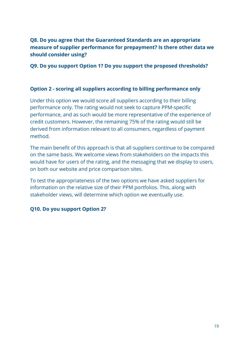#### **Q8. Do you agree that the Guaranteed Standards are an appropriate measure of supplier performance for prepayment? Is there other data we should consider using?**

**Q9. Do you support Option 1? Do you support the proposed thresholds?**

#### **Option 2 - scoring all suppliers according to billing performance only**

Under this option we would score all suppliers according to their billing performance only. The rating would not seek to capture PPM-specific performance, and as such would be more representative of the experience of credit customers. However, the remaining 75% of the rating would still be derived from information relevant to all consumers, regardless of payment method.

The main benefit of this approach is that all suppliers continue to be compared on the same basis. We welcome views from stakeholders on the impacts this would have for users of the rating, and the messaging that we display to users, on both our website and price comparison sites.

To test the appropriateness of the two options we have asked suppliers for information on the relative size of their PPM portfolios. This, along with stakeholder views, will determine which option we eventually use.

#### **Q10. Do you support Option 2?**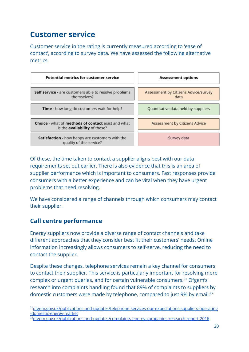### <span id="page-19-0"></span>**Customer service**

Customer service in the rating is currently measured according to 'ease of contact', according to survey data. We have assessed the following alternative metrics.



Of these, the time taken to contact a supplier aligns best with our data requirements set out earlier. There is also evidence that this is an area of supplier performance which is important to consumers. Fast responses provide consumers with a better experience and can be vital when they have urgent problems that need resolving.

We have considered a range of channels through which consumers may contact their supplier.

#### **Call centre performance**

Energy suppliers now provide a diverse range of contact channels and take different approaches that they consider best fit their customers' needs. Online information increasingly allows consumers to self-serve, reducing the need to contact the supplier.

Despite these changes, telephone services remain a key channel for consumers to contact their supplier. This service is particularly important for resolving more complex or urgent queries, and for certain vulnerable consumers.<sup>21</sup> Ofgem's research into complaints handling found that 89% of complaints to suppliers by domestic customers were made by telephone, compared to just 9% by email.<sup>22</sup>

<sup>&</sup>lt;sup>21</sup>[ofgem.gov.uk/publications-and-updates/telephone-services-our-expectations-suppliers-operating](https://www.ofgem.gov.uk/publications-and-updates/telephone-services-our-expectations-suppliers-operating-domestic-energy-market) [-domestic-energy-market](https://www.ofgem.gov.uk/publications-and-updates/telephone-services-our-expectations-suppliers-operating-domestic-energy-market)

<sup>22</sup>[ofgem.gov.uk/publications-and-updates/complaints-energy-companies-research-report-2016](https://www.ofgem.gov.uk/publications-and-updates/complaints-energy-companies-research-report-2016)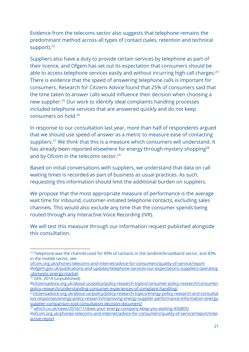Evidence from the telecoms sector also suggests that telephone remains the predominant method across all types of contact (sales, retention and technical support).<sup>23</sup>

Suppliers also have a duty to provide certain services by telephone as part of their licence, and Ofgem has set out its expectation that consumers should be able to access telephone services easily and without incurring high call charges.<sup>24</sup> There is evidence that the speed of answering telephone calls is important for consumers. Research for Citizens Advice found that 25% of consumers said that the time taken to answer calls would influence their decision when choosing a new supplier.<sup>25</sup> Our work to identify ideal complaints handling processes included telephone services that are answered quickly and do not keep consumers on hold.<sup>26</sup>

ln response to our consultation last year, more than half of respondents argued that we should use speed of answer as a metric to measure ease of contacting suppliers.<sup>27</sup> We think that this is a measure which consumers will understand. It has already been reported elsewhere for energy through mystery shopping<sup>28</sup> and by Ofcom in the telecoms sector.<sup>29</sup>

Based on initial conversations with suppliers, we understand that data on call waiting times is recorded as part of business as usual practices. As such, requesting this information should limit the additional burden on suppliers.

We propose that the most appropriate measure of performance is the average wait time for inbound, customer-initiated telephone contacts, excluding sales channels. This would also exclude any time that the consumer spends being routed through any Interactive Voice Recording (IVR).

We will test this measure through our information request published alongside this consultation.

<sup>28</sup> [which.co.uk/news/2016/11/does-your-energy-company-keep-you-waiting-456805/](http://www.which.co.uk/news/2016/11/does-your-energy-company-keep-you-waiting-456805/)

 $23$  Telephone was the channel used for 89% of contacts in the landline/broadband sector, and 83% in the mobile sector, see

[ofcom.org.uk/phones-telecoms-and-internet/advice-for-consumers/quality-of-service/report](https://www.ofcom.org.uk/phones-telecoms-and-internet/advice-for-consumers/quality-of-service/report) <sup>24</sup>[ofgem.gov.uk/publications-and-updates/telephone-services-our-expectations-suppliers-operating](https://www.ofgem.gov.uk/publications-and-updates/telephone-services-our-expectations-suppliers-operating-domestic-energy-market) [-domestic-energy-market](https://www.ofgem.gov.uk/publications-and-updates/telephone-services-our-expectations-suppliers-operating-domestic-energy-market)

<sup>25</sup> GFK, 2014 (unpublished)

<sup>26</sup>[citizensadvice.org.uk/about-us/policy/policy-research-topics/consumer-policy-research/consumer](https://www.citizensadvice.org.uk/about-us/policy/policy-research-topics/consumer-policy-research/consumer-policy-research/understanding-consumer-experiences-of-complaint-handling/)[policy-research/understanding-consumer-experiences-of-complaint-handling/](https://www.citizensadvice.org.uk/about-us/policy/policy-research-topics/consumer-policy-research/consumer-policy-research/understanding-consumer-experiences-of-complaint-handling/)

<sup>27&</sup>lt;sub>[citizensadvice.org.uk/about-us/policy/policy-research-topics/energy-policy-research-and-consultat](https://www.citizensadvice.org.uk/about-us/policy/policy-research-topics/energy-policy-research-and-consultation-responses/energy-policy-research/improving-energy-supplier-performance-information-energy-supplier-comparison-tool-consultation-decision-document/)</sub> [ion-responses/energy-policy-research/improving-energy-supplier-performance-information-energy](https://www.citizensadvice.org.uk/about-us/policy/policy-research-topics/energy-policy-research-and-consultation-responses/energy-policy-research/improving-energy-supplier-performance-information-energy-supplier-comparison-tool-consultation-decision-document/)[supplier-comparison-tool-consultation-decision-document/](https://www.citizensadvice.org.uk/about-us/policy/policy-research-topics/energy-policy-research-and-consultation-responses/energy-policy-research/improving-energy-supplier-performance-information-energy-supplier-comparison-tool-consultation-decision-document/)

<sup>29</sup>[ofcom.org.uk/phones-telecoms-and-internet/advice-for-consumers/quality-of-service/report/inter](https://www.ofcom.org.uk/phones-telecoms-and-internet/advice-for-consumers/quality-of-service/report/interactive-report) [active-report](https://www.ofcom.org.uk/phones-telecoms-and-internet/advice-for-consumers/quality-of-service/report/interactive-report)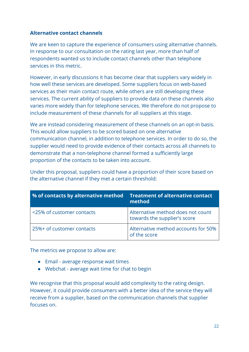#### **Alternative contact channels**

We are keen to capture the experience of consumers using alternative channels. In response to our consultation on the rating last year, more than half of respondents wanted us to include contact channels other than telephone services in this metric.

However, in early discussions it has become clear that suppliers vary widely in how well these services are developed. Some suppliers focus on web-based services as their main contact route, while others are still developing these services. The current ability of suppliers to provide data on these channels also varies more widely than for telephone services. We therefore do not propose to include measurement of these channels for all suppliers at this stage.

We are instead considering measurement of these channels on an opt-in basis. This would allow suppliers to be scored based on one alternative communication channel, in addition to telephone services. In order to do so, the supplier would need to provide evidence of their contacts across all channels to demonstrate that a non-telephone channel formed a sufficiently large proportion of the contacts to be taken into account.

Under this proposal, suppliers could have a proportion of their score based on the alternative channel if they met a certain threshold:

| % of contacts by alternative method | <b>Treatment of alternative contact</b><br>method                 |
|-------------------------------------|-------------------------------------------------------------------|
| <25% of customer contacts           | Alternative method does not count<br>towards the supplier's score |
| 25%+ of customer contacts           | Alternative method accounts for 50%<br>of the score               |

The metrics we propose to allow are:

- Email average response wait times
- Webchat average wait time for chat to begin

We recognise that this proposal would add complexity to the rating design. However, it could provide consumers with a better idea of the service they will receive from a supplier, based on the communication channels that supplier focuses on.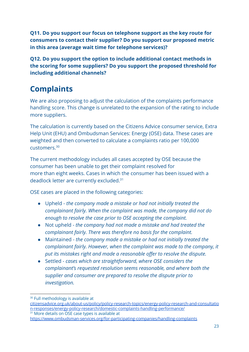**Q11. Do you support our focus on telephone support as the key route for consumers to contact their supplier? Do you support our proposed metric in this area (average wait time for telephone services)?**

**Q12. Do you support the option to include additional contact methods in the scoring for some suppliers? Do you support the proposed threshold for including additional channels?**

### <span id="page-22-0"></span>**Complaints**

We are also proposing to adjust the calculation of the complaints performance handling score. This change is unrelated to the expansion of the rating to include more suppliers.

The calculation is currently based on the Citizens Advice consumer service, Extra Help Unit (EHU) and Ombudsman Services: Energy (OSE) data. These cases are weighted and then converted to calculate a complaints ratio per 100,000 customers.<sup>30</sup>

The current methodology includes all cases accepted by OSE because the consumer has been unable to get their complaint resolved for more than eight weeks. Cases in which the consumer has been issued with a deadlock letter are currently excluded.<sup>31</sup>

OSE cases are placed in the following categories:

- Upheld *the company made a mistake or had not initially treated the complainant fairly. When the complaint was made, the company did not do enough to resolve the case prior to OSE accepting the complaint.*
- Not upheld *the company had not made a mistake and had treated the complainant fairly. There was therefore no basis for the complaint.*
- Maintained *the company made a mistake or had not initially treated the complainant fairly. However, when the complaint was made to the company, it* put its mistakes right and made a reasonable offer to resolve the dispute.
- Settled *cases which are straightforward, where OSE considers the complainant's requested resolution seems reasonable, and where both the supplier and consumer are prepared to resolve the dispute prior to investigation.*

<sup>&</sup>lt;sup>30</sup> Full methodology is available at

[citizensadvice.org.uk/about-us/policy/policy-research-topics/energy-policy-research-and-consultatio](https://www.citizensadvice.org.uk/about-us/policy/policy-research-topics/energy-policy-research-and-consultation-responses/energy-policy-research/domestic-complaints-handling-performance/) [n-responses/energy-policy-research/domestic-complaints-handling-performance/](https://www.citizensadvice.org.uk/about-us/policy/policy-research-topics/energy-policy-research-and-consultation-responses/energy-policy-research/domestic-complaints-handling-performance/) <sup>31</sup> More details on OSE case types is available at

<https://www.ombudsman-services.org/for-participating-companies/handling-complaints>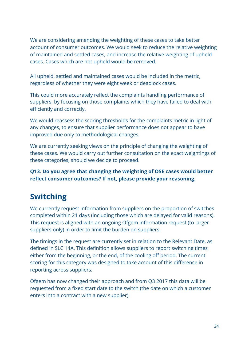We are considering amending the weighting of these cases to take better account of consumer outcomes. We would seek to reduce the relative weighting of maintained and settled cases, and increase the relative weighting of upheld cases. Cases which are not upheld would be removed.

All upheld, settled and maintained cases would be included in the metric, regardless of whether they were eight week or deadlock cases.

This could more accurately reflect the complaints handling performance of suppliers, by focusing on those complaints which they have failed to deal with efficiently and correctly.

We would reassess the scoring thresholds for the complaints metric in light of any changes, to ensure that supplier performance does not appear to have improved due only to methodological changes.

We are currently seeking views on the principle of changing the weighting of these cases. We would carry out further consultation on the exact weightings of these categories, should we decide to proceed.

**Q13. Do you agree that changing the weighting of OSE cases would better** reflect consumer outcomes? If not, please provide your reasoning.

### <span id="page-23-0"></span>**Switching**

We currently request information from suppliers on the proportion of switches completed within 21 days (including those which are delayed for valid reasons). This request is aligned with an ongoing Ofgem information request (to larger suppliers only) in order to limit the burden on suppliers.

The timings in the request are currently set in relation to the Relevant Date, as defined in SLC 14A. This definition allows suppliers to report switching times either from the beginning, or the end, of the cooling off period. The current scoring for this category was designed to take account of this difference in reporting across suppliers.

Ofgem has now changed their approach and from Q3 2017 this data will be requested from a fixed start date to the switch (the date on which a customer enters into a contract with a new supplier).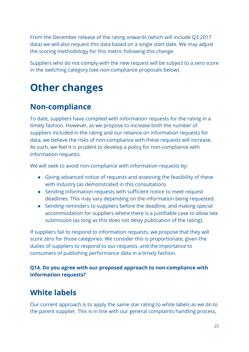From the December release of the rating onwards (which will include Q3 2017 data) we will also request this data based on a single start date. We may adjust the scoring methodology for this metric following this change.

Suppliers who do not comply with the new request will be subject to a zero score in the switching category (see [non-compliance proposals](#page-24-1) below).

# <span id="page-24-0"></span>**Other changes**

### <span id="page-24-1"></span>**Non-compliance**

To date, suppliers have complied with information requests for the rating in a timely fashion. However, as we propose to increase both the number of suppliers included in the rating and our reliance on information requests for data, we believe the risks of non-compliance with these requests will increase. As such, we feel it is prudent to develop a policy for non-compliance with information requests.

We will seek to avoid non-compliance with information requests by:

- Giving advanced notice of requests and assessing the feasibility of these with industry (as demonstrated in this consultation).
- Sending information requests with sufficient notice to meet request deadlines. This may vary depending on the information being requested.
- Sending reminders to suppliers before the deadline, and making special accommodation for suppliers where there is a justifiable case to allow late submission (as long as this does not delay publication of the rating).

If suppliers fail to respond to information requests, we propose that they will score zero for those categories. We consider this is proportionate, given the duties of suppliers to respond to our requests, and the importance to consumers of publishing performance data in a timely fashion.

#### **Q14. Do you agree with our proposed approach to non-compliance with information requests?**

### <span id="page-24-2"></span>**White labels**

Our current approach is to apply the same star rating to white labels as we do to the parent supplier. This is in line with our general complaints handling process,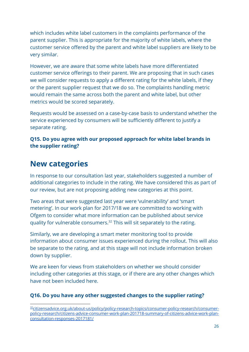which includes white label customers in the complaints performance of the parent supplier. This is appropriate for the majority of white labels, where the customer service offered by the parent and white label suppliers are likely to be very similar.

However, we are aware that some white labels have more differentiated customer service offerings to their parent. We are proposing that in such cases we will consider requests to apply a different rating for the white labels, if they or the parent supplier request that we do so. The complaints handling metric would remain the same across both the parent and white label, but other metrics would be scored separately.

Requests would be assessed on a case-by-case basis to understand whether the service experienced by consumers will be sufficiently different to justify a separate rating.

**Q15. Do you agree with our proposed approach for white label brands in the supplier rating?**

### <span id="page-25-0"></span>**New categories**

In response to our consultation last year, stakeholders suggested a number of additional categories to include in the rating. We have considered this as part of our review, but are not proposing adding new categories at this point.

Two areas that were suggested last year were 'vulnerability' and 'smart metering'. In our work plan for 2017/18 we are committed to working with Ofgem to consider what more information can be published about service quality for vulnerable consumers.<sup>32</sup> This will sit separately to the rating.

Similarly, we are developing a smart meter monitoring tool to provide information about consumer issues experienced during the rollout. This will also be separate to the rating, and at this stage will not include information broken down by supplier.

We are keen for views from stakeholders on whether we should consider including other categories at this stage, or if there are any other changes which have not been included here.

#### **Q16. Do you have any other suggested changes to the supplier rating?**

<sup>&</sup>lt;sup>32</sup>[citizensadvice.org.uk/about-us/policy/policy-research-topics/consumer-policy-research/consumer](https://www.citizensadvice.org.uk/about-us/policy/policy-research-topics/consumer-policy-research/consumer-policy-research/citizens-advice-consumer-work-plan-201718-summary-of-citizens-advice-work-plan-consultation-responses-2017181/)[policy-research/citizens-advice-consumer-work-plan-201718-summary-of-citizens-advice-work-plan](https://www.citizensadvice.org.uk/about-us/policy/policy-research-topics/consumer-policy-research/consumer-policy-research/citizens-advice-consumer-work-plan-201718-summary-of-citizens-advice-work-plan-consultation-responses-2017181/)[consultation-responses-2017181/](https://www.citizensadvice.org.uk/about-us/policy/policy-research-topics/consumer-policy-research/consumer-policy-research/citizens-advice-consumer-work-plan-201718-summary-of-citizens-advice-work-plan-consultation-responses-2017181/)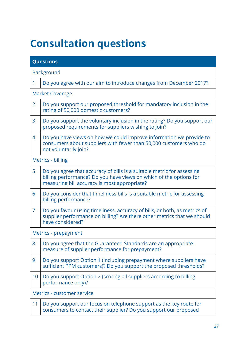# <span id="page-26-0"></span>**Consultation questions**

|                | <b>Questions</b>                                                                                                                                                                             |
|----------------|----------------------------------------------------------------------------------------------------------------------------------------------------------------------------------------------|
|                | <b>Background</b>                                                                                                                                                                            |
| 1              | Do you agree with our aim to introduce changes from December 2017?                                                                                                                           |
|                | <b>Market Coverage</b>                                                                                                                                                                       |
| $\overline{2}$ | Do you support our proposed threshold for mandatory inclusion in the<br>rating of 50,000 domestic customers?                                                                                 |
| 3              | Do you support the voluntary inclusion in the rating? Do you support our<br>proposed requirements for suppliers wishing to join?                                                             |
| 4              | Do you have views on how we could improve information we provide to<br>consumers about suppliers with fewer than 50,000 customers who do<br>not voluntarily join?                            |
|                | Metrics - billing                                                                                                                                                                            |
| 5              | Do you agree that accuracy of bills is a suitable metric for assessing<br>billing performance? Do you have views on which of the options for<br>measuring bill accuracy is most appropriate? |
| 6              | Do you consider that timeliness bills is a suitable metric for assessing<br>billing performance?                                                                                             |
| 7              | Do you favour using timeliness, accuracy of bills, or both, as metrics of<br>supplier performance on billing? Are there other metrics that we should<br>have considered?                     |
|                | Metrics - prepayment                                                                                                                                                                         |
| 8              | Do you agree that the Guaranteed Standards are an appropriate<br>measure of supplier performance for prepayment?                                                                             |
| 9              | Do you support Option 1 (including prepayment where suppliers have<br>sufficient PPM customers)? Do you support the proposed thresholds?                                                     |
| 10             | Do you support Option 2 (scoring all suppliers according to billing<br>performance only)?                                                                                                    |
|                | Metrics - customer service                                                                                                                                                                   |
| 11             | Do you support our focus on telephone support as the key route for<br>consumers to contact their supplier? Do you support our proposed                                                       |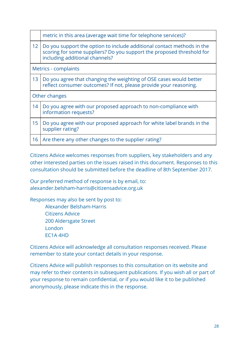|                 | metric in this area (average wait time for telephone services)?                                                                                                                   |
|-----------------|-----------------------------------------------------------------------------------------------------------------------------------------------------------------------------------|
| 12 <sup>2</sup> | Do you support the option to include additional contact methods in the<br>scoring for some suppliers? Do you support the proposed threshold for<br>including additional channels? |
|                 | Metrics - complaints                                                                                                                                                              |
| 13              | Do you agree that changing the weighting of OSE cases would better<br>reflect consumer outcomes? If not, please provide your reasoning.                                           |
|                 | Other changes                                                                                                                                                                     |
| 14              | Do you agree with our proposed approach to non-compliance with<br>information requests?                                                                                           |
| 15              | Do you agree with our proposed approach for white label brands in the<br>supplier rating?                                                                                         |
| 16              | Are there any other changes to the supplier rating?                                                                                                                               |

Citizens Advice welcomes responses from suppliers, key stakeholders and any other interested parties on the issues raised in this document. Responses to this consultation should be submitted before the deadline of 8th September 2017.

Our preferred method of response is by email, to: alexander.belsham-harris@citizensadvice.org.uk

Responses may also be sent by post to: Alexander Belsham-Harris Citizens Advice

200 Aldersgate Street

London

EC1A 4HD

Citizens Advice will acknowledge all consultation responses received. Please remember to state your contact details in your response.

Citizens Advice will publish responses to this consultation on its website and may refer to their contents in subsequent publications. If you wish all or part of your response to remain confidential, or if you would like it to be published anonymously, please indicate this in the response.